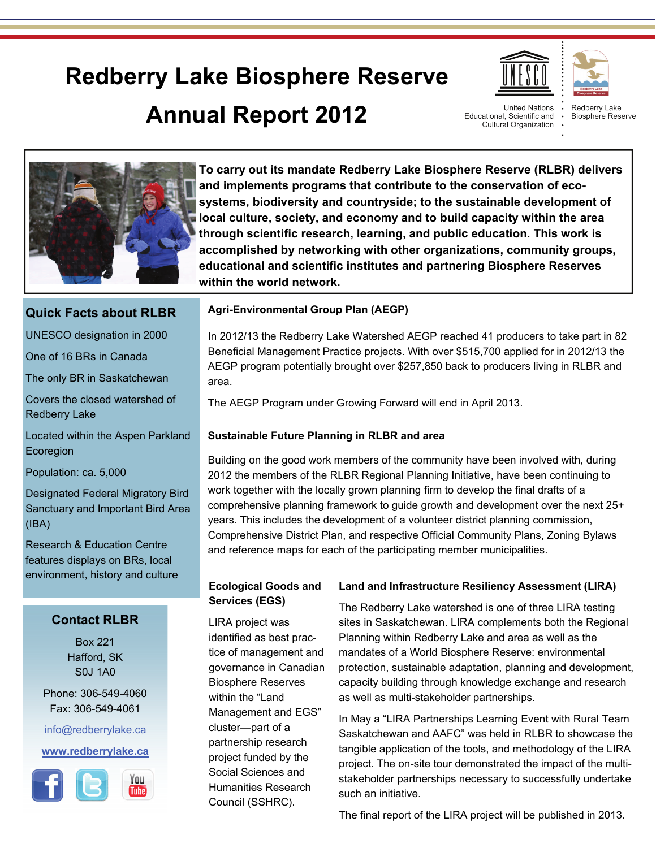# **Redberry Lake Biosphere Reserve Annual Report 2012**



**United Nations** Educational, Scientific and Cultural Organization

Redberry Lake Biosphere Reserve



**To carry out its mandate Redberry Lake Biosphere Reserve (RLBR) delivers and implements programs that contribute to the conservation of ecosystems, biodiversity and countryside; to the sustainable development of local culture, society, and economy and to build capacity within the area through scientific research, learning, and public education. This work is accomplished by networking with other organizations, community groups, educational and scientific institutes and partnering Biosphere Reserves within the world network.** 

# **Quick Facts about RLBR**

UNESCO designation in 2000

One of 16 BRs in Canada

The only BR in Saskatchewan

Covers the closed watershed of Redberry Lake

Located within the Aspen Parkland Ecoregion

Population: ca. 5,000

Designated Federal Migratory Bird Sanctuary and Important Bird Area (IBA)

Research & Education Centre features displays on BRs, local environment, history and culture

# **Contact RLBR**

Box 221 Hafford, SK S0J 1A0

Phone: 306-549-4060 Fax: 306-549-4061

[info@redberrylake.ca](mailto:info@redberrylake.ca)

## **[www.redberrylake.ca](http://www.redberrylake.ca)**



# **Agri-Environmental Group Plan (AEGP)**

In 2012/13 the Redberry Lake Watershed AEGP reached 41 producers to take part in 82 Beneficial Management Practice projects. With over \$515,700 applied for in 2012/13 the AEGP program potentially brought over \$257,850 back to producers living in RLBR and area.

The AEGP Program under Growing Forward will end in April 2013.

# **Sustainable Future Planning in RLBR and area**

Building on the good work members of the community have been involved with, during 2012 the members of the RLBR Regional Planning Initiative, have been continuing to work together with the locally grown planning firm to develop the final drafts of a comprehensive planning framework to guide growth and development over the next 25+ years. This includes the development of a volunteer district planning commission, Comprehensive District Plan, and respective Official Community Plans, Zoning Bylaws and reference maps for each of the participating member municipalities.

# **Ecological Goods and Services (EGS)**

LIRA project was identified as best practice of management and governance in Canadian Biosphere Reserves within the "Land Management and EGS" cluster—part of a partnership research project funded by the Social Sciences and Humanities Research Council (SSHRC).

# **Land and Infrastructure Resiliency Assessment (LIRA)**

The Redberry Lake watershed is one of three LIRA testing sites in Saskatchewan. LIRA complements both the Regional Planning within Redberry Lake and area as well as the mandates of a World Biosphere Reserve: environmental protection, sustainable adaptation, planning and development, capacity building through knowledge exchange and research as well as multi-stakeholder partnerships.

In May a "LIRA Partnerships Learning Event with Rural Team Saskatchewan and AAFC" was held in RLBR to showcase the tangible application of the tools, and methodology of the LIRA project. The on-site tour demonstrated the impact of the multistakeholder partnerships necessary to successfully undertake such an initiative.

The final report of the LIRA project will be published in 2013.